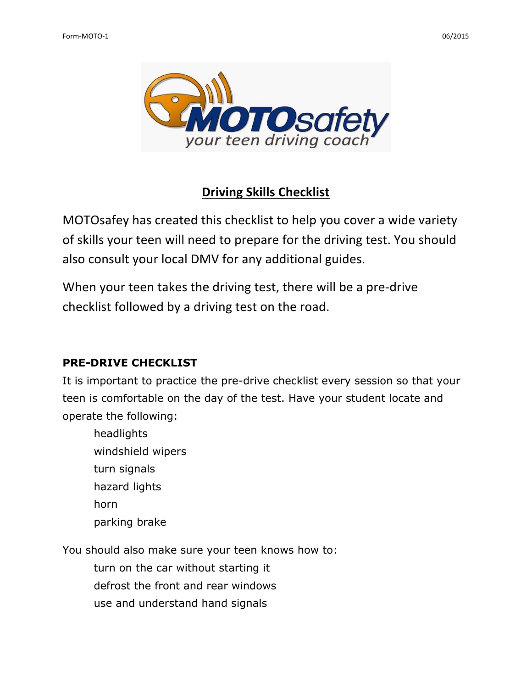

# **Driving Skills Checklist**

MOTOsafey has created this checklist to help you cover a wide variety of skills your teen will need to prepare for the driving test. You should also consult your local DMV for any additional guides.

When your teen takes the driving test, there will be a pre-drive checklist followed by a driving test on the road.

# **PRE-DRIVE CHECKLIST**

It is important to practice the pre-drive checklist every session so that your teen is comfortable on the day of the test. Have your student locate and operate the following:

 headlights windshield wipers turn signals hazard lights horn parking brake

You should also make sure your teen knows how to:

turn on the car without starting it

defrost the front and rear windows

use and understand hand signals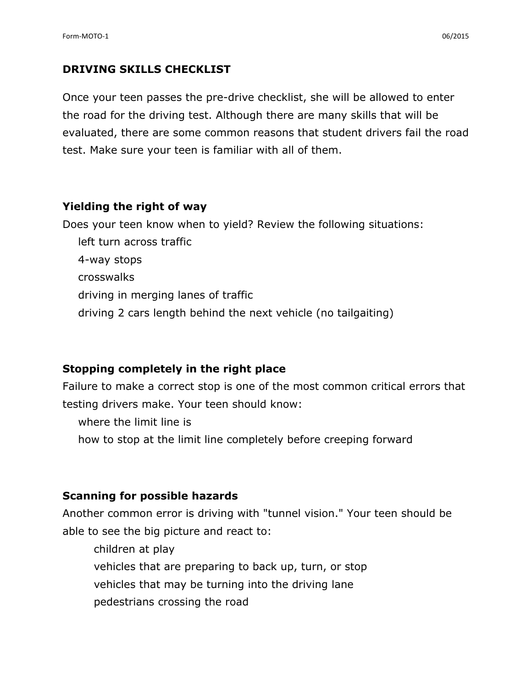# **DRIVING SKILLS CHECKLIST**

Once your teen passes the pre-drive checklist, she will be allowed to enter the road for the driving test. Although there are many skills that will be evaluated, there are some common reasons that student drivers fail the road test. Make sure your teen is familiar with all of them.

## **Yielding the right of way**

Does your teen know when to yield? Review the following situations: left turn across traffic 4-way stops crosswalks driving in merging lanes of traffic driving 2 cars length behind the next vehicle (no tailgaiting)

# **Stopping completely in the right place**

Failure to make a correct stop is one of the most common critical errors that testing drivers make. Your teen should know:

where the limit line is

how to stop at the limit line completely before creeping forward

# **Scanning for possible hazards**

Another common error is driving with "tunnel vision." Your teen should be able to see the big picture and react to:

 children at play vehicles that are preparing to back up, turn, or stop vehicles that may be turning into the driving lane pedestrians crossing the road